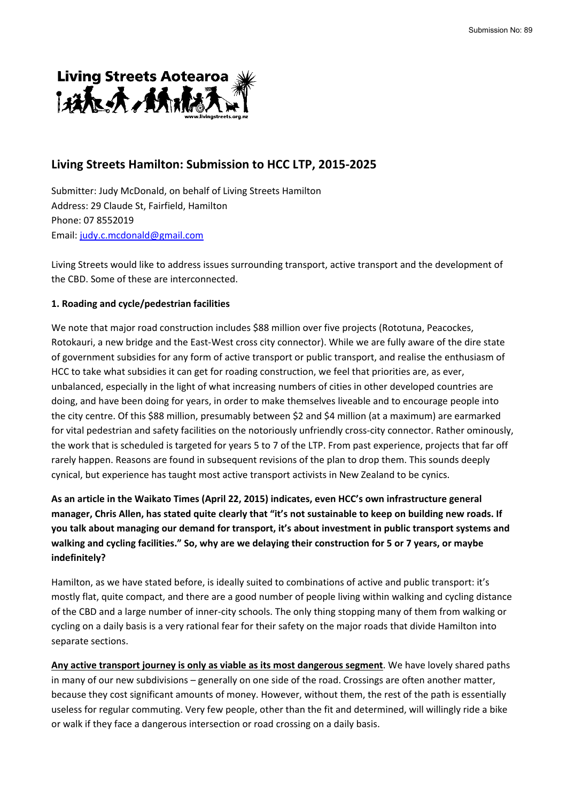

# **Living Streets Hamilton: Submission to HCC LTP, 2015-2025**

Submitter: Judy McDonald, on behalf of Living Streets Hamilton Address: 29 Claude St, Fairfield, Hamilton Phone: 07 8552019 Email: [judy.c.mcdonald@gmail.com](mailto:judy.c.mcdonald@gmail.com)

Living Streets would like to address issues surrounding transport, active transport and the development of the CBD. Some of these are interconnected.

### **1. Roading and cycle/pedestrian facilities**

We note that major road construction includes \$88 million over five projects (Rototuna, Peacockes, Rotokauri, a new bridge and the East-West cross city connector). While we are fully aware of the dire state of government subsidies for any form of active transport or public transport, and realise the enthusiasm of HCC to take what subsidies it can get for roading construction, we feel that priorities are, as ever, unbalanced, especially in the light of what increasing numbers of cities in other developed countries are doing, and have been doing for years, in order to make themselves liveable and to encourage people into the city centre. Of this \$88 million, presumably between \$2 and \$4 million (at a maximum) are earmarked for vital pedestrian and safety facilities on the notoriously unfriendly cross-city connector. Rather ominously, the work that is scheduled is targeted for years 5 to 7 of the LTP. From past experience, projects that far off rarely happen. Reasons are found in subsequent revisions of the plan to drop them. This sounds deeply cynical, but experience has taught most active transport activists in New Zealand to be cynics.

**As an article in the Waikato Times (April 22, 2015) indicates, even HCC's own infrastructure general manager, Chris Allen, has stated quite clearly that "it's not sustainable to keep on building new roads. If you talk about managing our demand for transport, it's about investment in public transport systems and walking and cycling facilities." So, why are we delaying their construction for 5 or 7 years, or maybe indefinitely?**

Hamilton, as we have stated before, is ideally suited to combinations of active and public transport: it's mostly flat, quite compact, and there are a good number of people living within walking and cycling distance of the CBD and a large number of inner-city schools. The only thing stopping many of them from walking or cycling on a daily basis is a very rational fear for their safety on the major roads that divide Hamilton into separate sections.

**Any active transport journey is only as viable as its most dangerous segment**. We have lovely shared paths in many of our new subdivisions – generally on one side of the road. Crossings are often another matter, because they cost significant amounts of money. However, without them, the rest of the path is essentially useless for regular commuting. Very few people, other than the fit and determined, will willingly ride a bike or walk if they face a dangerous intersection or road crossing on a daily basis.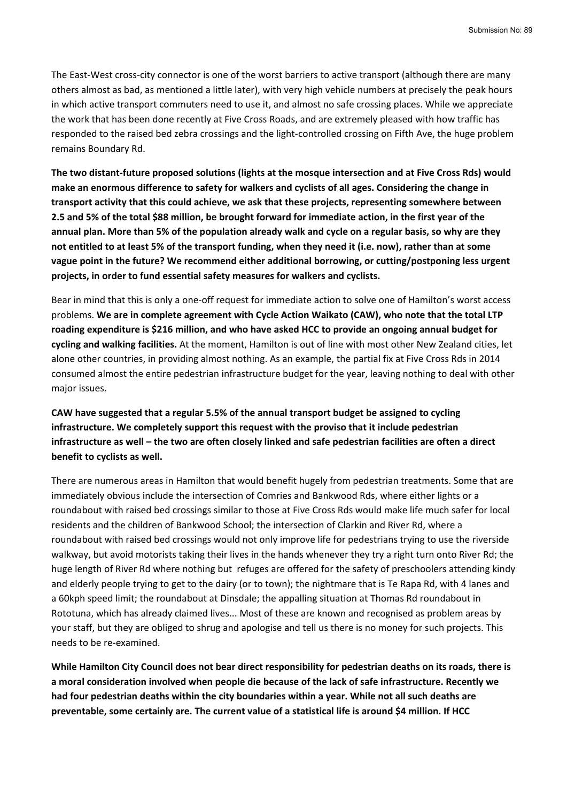The East-West cross-city connector is one of the worst barriers to active transport (although there are many others almost as bad, as mentioned a little later), with very high vehicle numbers at precisely the peak hours in which active transport commuters need to use it, and almost no safe crossing places. While we appreciate the work that has been done recently at Five Cross Roads, and are extremely pleased with how traffic has responded to the raised bed zebra crossings and the light-controlled crossing on Fifth Ave, the huge problem remains Boundary Rd.

**The two distant-future proposed solutions (lights at the mosque intersection and at Five Cross Rds) would make an enormous difference to safety for walkers and cyclists of all ages. Considering the change in transport activity that this could achieve, we ask that these projects, representing somewhere between 2.5 and 5% of the total \$88 million, be brought forward for immediate action, in the first year of the annual plan. More than 5% of the population already walk and cycle on a regular basis, so why are they not entitled to at least 5% of the transport funding, when they need it (i.e. now), rather than at some vague point in the future? We recommend either additional borrowing, or cutting/postponing less urgent projects, in order to fund essential safety measures for walkers and cyclists.**

Bear in mind that this is only a one-off request for immediate action to solve one of Hamilton's worst access problems. **We are in complete agreement with Cycle Action Waikato (CAW), who note that the total LTP roading expenditure is \$216 million, and who have asked HCC to provide an ongoing annual budget for cycling and walking facilities.** At the moment, Hamilton is out of line with most other New Zealand cities, let alone other countries, in providing almost nothing. As an example, the partial fix at Five Cross Rds in 2014 consumed almost the entire pedestrian infrastructure budget for the year, leaving nothing to deal with other major issues.

**CAW have suggested that a regular 5.5% of the annual transport budget be assigned to cycling infrastructure. We completely support this request with the proviso that it include pedestrian infrastructure as well – the two are often closely linked and safe pedestrian facilities are often a direct benefit to cyclists as well.**

There are numerous areas in Hamilton that would benefit hugely from pedestrian treatments. Some that are immediately obvious include the intersection of Comries and Bankwood Rds, where either lights or a roundabout with raised bed crossings similar to those at Five Cross Rds would make life much safer for local residents and the children of Bankwood School; the intersection of Clarkin and River Rd, where a roundabout with raised bed crossings would not only improve life for pedestrians trying to use the riverside walkway, but avoid motorists taking their lives in the hands whenever they try a right turn onto River Rd; the huge length of River Rd where nothing but refuges are offered for the safety of preschoolers attending kindy and elderly people trying to get to the dairy (or to town); the nightmare that is Te Rapa Rd, with 4 lanes and a 60kph speed limit; the roundabout at Dinsdale; the appalling situation at Thomas Rd roundabout in Rototuna, which has already claimed lives... Most of these are known and recognised as problem areas by your staff, but they are obliged to shrug and apologise and tell us there is no money for such projects. This needs to be re-examined.

**While Hamilton City Council does not bear direct responsibility for pedestrian deaths on its roads, there is a moral consideration involved when people die because of the lack of safe infrastructure. Recently we had four pedestrian deaths within the city boundaries within a year. While not all such deaths are preventable, some certainly are. The current value of a statistical life is around \$4 million. If HCC**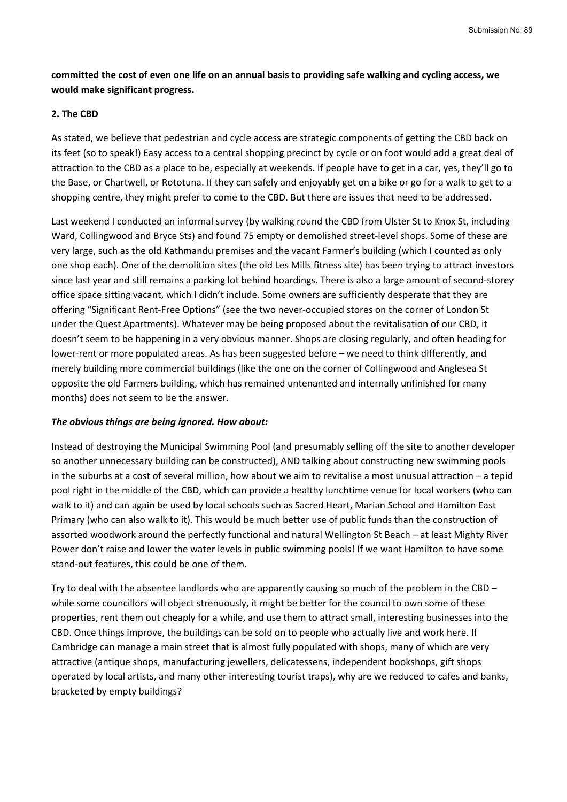## **committed the cost of even one life on an annual basis to providing safe walking and cycling access, we would make significant progress.**

### **2. The CBD**

As stated, we believe that pedestrian and cycle access are strategic components of getting the CBD back on its feet (so to speak!) Easy access to a central shopping precinct by cycle or on foot would add a great deal of attraction to the CBD as a place to be, especially at weekends. If people have to get in a car, yes, they'll go to the Base, or Chartwell, or Rototuna. If they can safely and enjoyably get on a bike or go for a walk to get to a shopping centre, they might prefer to come to the CBD. But there are issues that need to be addressed.

Last weekend I conducted an informal survey (by walking round the CBD from Ulster St to Knox St, including Ward, Collingwood and Bryce Sts) and found 75 empty or demolished street-level shops. Some of these are very large, such as the old Kathmandu premises and the vacant Farmer's building (which I counted as only one shop each). One of the demolition sites (the old Les Mills fitness site) has been trying to attract investors since last year and still remains a parking lot behind hoardings. There is also a large amount of second-storey office space sitting vacant, which I didn't include. Some owners are sufficiently desperate that they are offering "Significant Rent-Free Options" (see the two never-occupied stores on the corner of London St under the Quest Apartments). Whatever may be being proposed about the revitalisation of our CBD, it doesn't seem to be happening in a very obvious manner. Shops are closing regularly, and often heading for lower-rent or more populated areas. As has been suggested before – we need to think differently, and merely building more commercial buildings (like the one on the corner of Collingwood and Anglesea St opposite the old Farmers building, which has remained untenanted and internally unfinished for many months) does not seem to be the answer.

### *The obvious things are being ignored. How about:*

Instead of destroying the Municipal Swimming Pool (and presumably selling off the site to another developer so another unnecessary building can be constructed), AND talking about constructing new swimming pools in the suburbs at a cost of several million, how about we aim to revitalise a most unusual attraction – a tepid pool right in the middle of the CBD, which can provide a healthy lunchtime venue for local workers (who can walk to it) and can again be used by local schools such as Sacred Heart, Marian School and Hamilton East Primary (who can also walk to it). This would be much better use of public funds than the construction of assorted woodwork around the perfectly functional and natural Wellington St Beach – at least Mighty River Power don't raise and lower the water levels in public swimming pools! If we want Hamilton to have some stand-out features, this could be one of them.

Try to deal with the absentee landlords who are apparently causing so much of the problem in the CBD – while some councillors will object strenuously, it might be better for the council to own some of these properties, rent them out cheaply for a while, and use them to attract small, interesting businesses into the CBD. Once things improve, the buildings can be sold on to people who actually live and work here. If Cambridge can manage a main street that is almost fully populated with shops, many of which are very attractive (antique shops, manufacturing jewellers, delicatessens, independent bookshops, gift shops operated by local artists, and many other interesting tourist traps), why are we reduced to cafes and banks, bracketed by empty buildings?